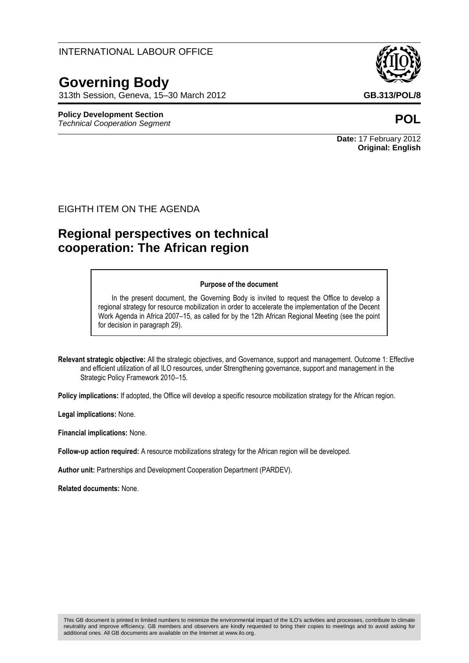#### INTERNATIONAL LABOUR OFFICE

# **Governing Body**

313th Session, Geneva, 15–30 March 2012 **GB.313/POL/8**

## **Policy Development Section**

*Technical Cooperation Segment* **POL**



**Date:** 17 February 2012 **Original: English**

#### EIGHTH ITEM ON THE AGENDA

## **Regional perspectives on technical cooperation: The African region**

#### **Purpose of the document**

In the present document, the Governing Body is invited to request the Office to develop a regional strategy for resource mobilization in order to accelerate the implementation of the Decent Work Agenda in Africa 2007–15, as called for by the 12th African Regional Meeting (see the point for decision in paragraph 29).

**Relevant strategic objective:** All the strategic objectives, and Governance, support and management. Outcome 1: Effective and efficient utilization of all ILO resources, under Strengthening governance, support and management in the Strategic Policy Framework 2010–15.

**Policy implications:** If adopted, the Office will develop a specific resource mobilization strategy for the African region.

**Legal implications:** None.

**Financial implications:** None.

**Follow-up action required:** A resource mobilizations strategy for the African region will be developed.

**Author unit:** Partnerships and Development Cooperation Department (PARDEV).

**Related documents:** None.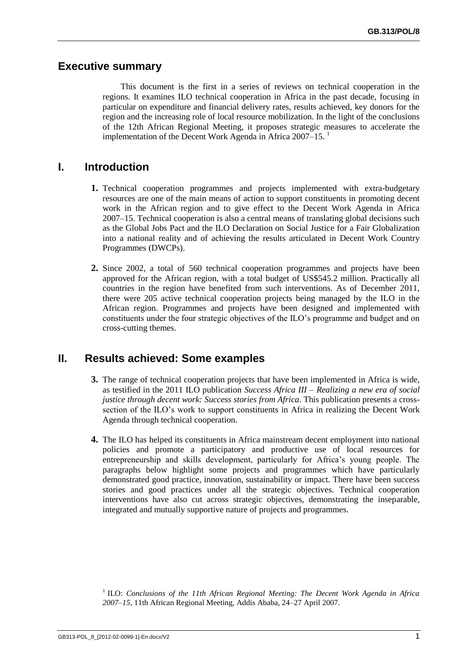#### **Executive summary**

This document is the first in a series of reviews on technical cooperation in the regions. It examines ILO technical cooperation in Africa in the past decade, focusing in particular on expenditure and financial delivery rates, results achieved, key donors for the region and the increasing role of local resource mobilization. In the light of the conclusions of the 12th African Regional Meeting, it proposes strategic measures to accelerate the implementation of the Decent Work Agenda in Africa  $2007-15$ .

#### **I. Introduction**

- **1.** Technical cooperation programmes and projects implemented with extra-budgetary resources are one of the main means of action to support constituents in promoting decent work in the African region and to give effect to the Decent Work Agenda in Africa 2007–15. Technical cooperation is also a central means of translating global decisions such as the Global Jobs Pact and the ILO Declaration on Social Justice for a Fair Globalization into a national reality and of achieving the results articulated in Decent Work Country Programmes (DWCPs).
- **2.** Since 2002, a total of 560 technical cooperation programmes and projects have been approved for the African region, with a total budget of US\$545.2 million. Practically all countries in the region have benefited from such interventions. As of December 2011, there were 205 active technical cooperation projects being managed by the ILO in the African region. Programmes and projects have been designed and implemented with constituents under the four strategic objectives of the ILO's programme and budget and on cross-cutting themes.

### **II. Results achieved: Some examples**

- **3.** The range of technical cooperation projects that have been implemented in Africa is wide, as testified in the 2011 ILO publication *Success Africa III – Realizing a new era of social justice through decent work: Success stories from Africa*. This publication presents a crosssection of the ILO's work to support constituents in Africa in realizing the Decent Work Agenda through technical cooperation.
- **4.** The ILO has helped its constituents in Africa mainstream decent employment into national policies and promote a participatory and productive use of local resources for entrepreneurship and skills development, particularly for Africa's young people. The paragraphs below highlight some projects and programmes which have particularly demonstrated good practice, innovation, sustainability or impact. There have been success stories and good practices under all the strategic objectives. Technical cooperation interventions have also cut across strategic objectives, demonstrating the inseparable, integrated and mutually supportive nature of projects and programmes.

<sup>1</sup> ILO: *Conclusions of the 11th African Regional Meeting: The Decent Work Agenda in Africa 2007–15*, 11th African Regional Meeting, Addis Ababa, 24–27 April 2007.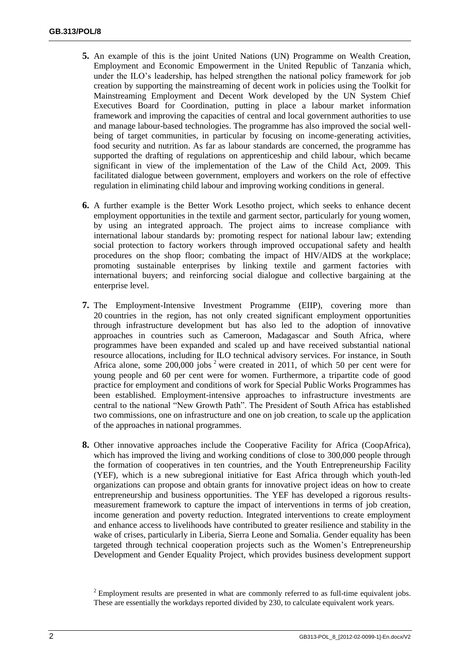- **5.** An example of this is the joint United Nations (UN) Programme on Wealth Creation, Employment and Economic Empowerment in the United Republic of Tanzania which, under the ILO's leadership, has helped strengthen the national policy framework for job creation by supporting the mainstreaming of decent work in policies using the Toolkit for Mainstreaming Employment and Decent Work developed by the UN System Chief Executives Board for Coordination, putting in place a labour market information framework and improving the capacities of central and local government authorities to use and manage labour-based technologies. The programme has also improved the social wellbeing of target communities, in particular by focusing on income-generating activities, food security and nutrition. As far as labour standards are concerned, the programme has supported the drafting of regulations on apprenticeship and child labour, which became significant in view of the implementation of the Law of the Child Act, 2009. This facilitated dialogue between government, employers and workers on the role of effective regulation in eliminating child labour and improving working conditions in general.
- **6.** A further example is the Better Work Lesotho project, which seeks to enhance decent employment opportunities in the textile and garment sector, particularly for young women, by using an integrated approach. The project aims to increase compliance with international labour standards by: promoting respect for national labour law; extending social protection to factory workers through improved occupational safety and health procedures on the shop floor; combating the impact of HIV/AIDS at the workplace; promoting sustainable enterprises by linking textile and garment factories with international buyers; and reinforcing social dialogue and collective bargaining at the enterprise level.
- **7.** The Employment-Intensive Investment Programme (EIIP), covering more than 20 countries in the region, has not only created significant employment opportunities through infrastructure development but has also led to the adoption of innovative approaches in countries such as Cameroon, Madagascar and South Africa, where programmes have been expanded and scaled up and have received substantial national resource allocations, including for ILO technical advisory services. For instance, in South Africa alone, some  $200,000$  jobs  $2$  were created in 2011, of which 50 per cent were for young people and 60 per cent were for women. Furthermore, a tripartite code of good practice for employment and conditions of work for Special Public Works Programmes has been established. Employment-intensive approaches to infrastructure investments are central to the national "New Growth Path". The President of South Africa has established two commissions, one on infrastructure and one on job creation, to scale up the application of the approaches in national programmes.
- **8.** Other innovative approaches include the Cooperative Facility for Africa (CoopAfrica), which has improved the living and working conditions of close to 300,000 people through the formation of cooperatives in ten countries, and the Youth Entrepreneurship Facility (YEF), which is a new subregional initiative for East Africa through which youth-led organizations can propose and obtain grants for innovative project ideas on how to create entrepreneurship and business opportunities. The YEF has developed a rigorous resultsmeasurement framework to capture the impact of interventions in terms of job creation, income generation and poverty reduction. Integrated interventions to create employment and enhance access to livelihoods have contributed to greater resilience and stability in the wake of crises, particularly in Liberia, Sierra Leone and Somalia. Gender equality has been targeted through technical cooperation projects such as the Women's Entrepreneurship Development and Gender Equality Project, which provides business development support

 $2$  Employment results are presented in what are commonly referred to as full-time equivalent jobs. These are essentially the workdays reported divided by 230, to calculate equivalent work years.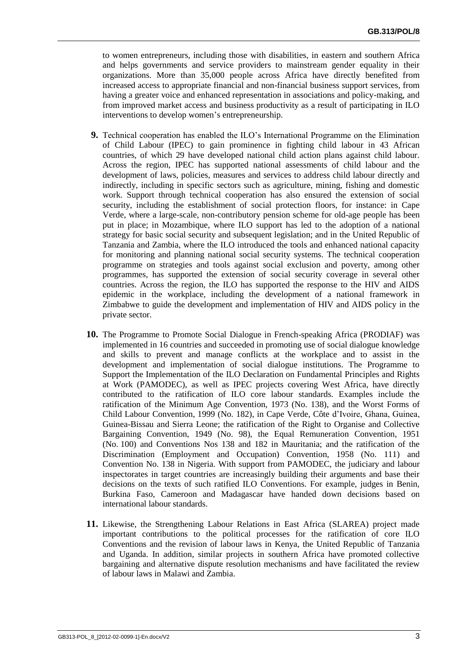to women entrepreneurs, including those with disabilities, in eastern and southern Africa and helps governments and service providers to mainstream gender equality in their organizations. More than 35,000 people across Africa have directly benefited from increased access to appropriate financial and non-financial business support services, from having a greater voice and enhanced representation in associations and policy-making, and from improved market access and business productivity as a result of participating in ILO interventions to develop women's entrepreneurship.

- **9.** Technical cooperation has enabled the ILO's International Programme on the Elimination of Child Labour (IPEC) to gain prominence in fighting child labour in 43 African countries, of which 29 have developed national child action plans against child labour. Across the region, IPEC has supported national assessments of child labour and the development of laws, policies, measures and services to address child labour directly and indirectly, including in specific sectors such as agriculture, mining, fishing and domestic work. Support through technical cooperation has also ensured the extension of social security, including the establishment of social protection floors, for instance: in Cape Verde, where a large-scale, non-contributory pension scheme for old-age people has been put in place; in Mozambique, where ILO support has led to the adoption of a national strategy for basic social security and subsequent legislation; and in the United Republic of Tanzania and Zambia, where the ILO introduced the tools and enhanced national capacity for monitoring and planning national social security systems. The technical cooperation programme on strategies and tools against social exclusion and poverty, among other programmes, has supported the extension of social security coverage in several other countries. Across the region, the ILO has supported the response to the HIV and AIDS epidemic in the workplace, including the development of a national framework in Zimbabwe to guide the development and implementation of HIV and AIDS policy in the private sector.
- **10.** The Programme to Promote Social Dialogue in French-speaking Africa (PRODIAF) was implemented in 16 countries and succeeded in promoting use of social dialogue knowledge and skills to prevent and manage conflicts at the workplace and to assist in the development and implementation of social dialogue institutions. The Programme to Support the Implementation of the ILO Declaration on Fundamental Principles and Rights at Work (PAMODEC), as well as IPEC projects covering West Africa, have directly contributed to the ratification of ILO core labour standards. Examples include the ratification of the Minimum Age Convention, 1973 (No. 138), and the Worst Forms of Child Labour Convention, 1999 (No. 182), in Cape Verde, Côte d'Ivoire, Ghana, Guinea, Guinea-Bissau and Sierra Leone; the ratification of the Right to Organise and Collective Bargaining Convention, 1949 (No. 98), the Equal Remuneration Convention, 1951 (No. 100) and Conventions Nos 138 and 182 in Mauritania; and the ratification of the Discrimination (Employment and Occupation) Convention, 1958 (No. 111) and Convention No. 138 in Nigeria. With support from PAMODEC, the judiciary and labour inspectorates in target countries are increasingly building their arguments and base their decisions on the texts of such ratified ILO Conventions. For example, judges in Benin, Burkina Faso, Cameroon and Madagascar have handed down decisions based on international labour standards.
- **11.** Likewise, the Strengthening Labour Relations in East Africa (SLAREA) project made important contributions to the political processes for the ratification of core ILO Conventions and the revision of labour laws in Kenya, the United Republic of Tanzania and Uganda. In addition, similar projects in southern Africa have promoted collective bargaining and alternative dispute resolution mechanisms and have facilitated the review of labour laws in Malawi and Zambia.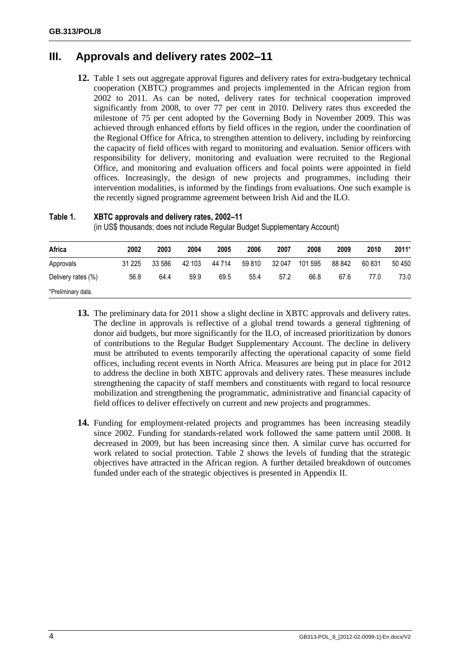## **III. Approvals and delivery rates 2002–11**

**12.** Table 1 sets out aggregate approval figures and delivery rates for extra-budgetary technical cooperation (XBTC) programmes and projects implemented in the African region from 2002 to 2011. As can be noted, delivery rates for technical cooperation improved significantly from 2008, to over 77 per cent in 2010. Delivery rates thus exceeded the milestone of 75 per cent adopted by the Governing Body in November 2009. This was achieved through enhanced efforts by field offices in the region, under the coordination of the Regional Office for Africa, to strengthen attention to delivery, including by reinforcing the capacity of field offices with regard to monitoring and evaluation. Senior officers with responsibility for delivery, monitoring and evaluation were recruited to the Regional Office, and monitoring and evaluation officers and focal points were appointed in field offices. Increasingly, the design of new projects and programmes, including their intervention modalities, is informed by the findings from evaluations. One such example is the recently signed programme agreement between Irish Aid and the ILO.

| Table 1. | XBTC approvals and delivery rates, 2002-11             |
|----------|--------------------------------------------------------|
|          | (in HCC thousandor does not include Dequier Dudget Cup |

(in US\$ thousands; does not include Regular Budget Supplementary Account)

| Africa             | 2002    | 2003   | 2004   | 2005   | 2006   | 2007   | 2008    | 2009   | 2010   | $2011*$ |
|--------------------|---------|--------|--------|--------|--------|--------|---------|--------|--------|---------|
| Approvals          | 31 2 25 | 33 586 | 42 103 | 44 714 | 59 810 | 32 047 | 101 595 | 88 842 | 60 831 | 50 450  |
| Delivery rates (%) | 56.8    | 64.4   | 59.9   | 69.5   | 55.4   | 57.2   | 66.8    | 67.6   | 77.0   | 73.0    |
| *Preliminary data. |         |        |        |        |        |        |         |        |        |         |

- **13.** The preliminary data for 2011 show a slight decline in XBTC approvals and delivery rates. The decline in approvals is reflective of a global trend towards a general tightening of donor aid budgets, but more significantly for the ILO, of increased prioritization by donors of contributions to the Regular Budget Supplementary Account. The decline in delivery must be attributed to events temporarily affecting the operational capacity of some field offices, including recent events in North Africa. Measures are being put in place for 2012 to address the decline in both XBTC approvals and delivery rates. These measures include strengthening the capacity of staff members and constituents with regard to local resource mobilization and strengthening the programmatic, administrative and financial capacity of field offices to deliver effectively on current and new projects and programmes.
- **14.** Funding for employment-related projects and programmes has been increasing steadily since 2002. Funding for standards-related work followed the same pattern until 2008. It decreased in 2009, but has been increasing since then. A similar curve has occurred for work related to social protection. Table 2 shows the levels of funding that the strategic objectives have attracted in the African region. A further detailed breakdown of outcomes funded under each of the strategic objectives is presented in Appendix II.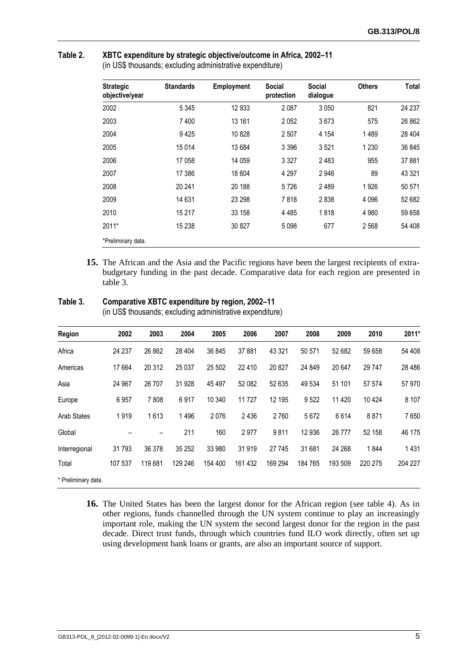| <b>Strategic</b><br>objective/year | <b>Standards</b> | <b>Employment</b> | <b>Social</b><br>protection | <b>Social</b><br>dialogue | <b>Others</b> | Total   |
|------------------------------------|------------------|-------------------|-----------------------------|---------------------------|---------------|---------|
| 2002                               | 5 3 4 5          | 12 933            | 2 0 8 7                     | 3 0 5 0                   | 821           | 24 237  |
| 2003                               | 7400             | 13 161            | 2052                        | 3673                      | 575           | 26 862  |
| 2004                               | 9425             | 10 828            | 2 507                       | 4 1 5 4                   | 1489          | 28 4 04 |
| 2005                               | 15014            | 13 684            | 3 3 9 6                     | 3521                      | 1 2 3 0       | 36 845  |
| 2006                               | 17 058           | 14 059            | 3 3 2 7                     | 2 4 8 3                   | 955           | 37 881  |
| 2007                               | 17 386           | 18 604            | 4 2 9 7                     | 2946                      | 89            | 43 321  |
| 2008                               | 20 241           | 20 188            | 5726                        | 2 4 8 9                   | 1926          | 50 571  |
| 2009                               | 14 631           | 23 298            | 7818                        | 2838                      | 4 0 9 6       | 52 682  |
| 2010                               | 15 217           | 33 158            | 4485                        | 1818                      | 4 9 8 0       | 59 658  |
| 2011*                              | 15 2 38          | 30 827            | 5 0 9 8                     | 677                       | 2 5 6 8       | 54 408  |
| *Preliminary data.                 |                  |                   |                             |                           |               |         |

#### **Table 2. XBTC expenditure by strategic objective/outcome in Africa, 2002–11**

(in US\$ thousands; excluding administrative expenditure)

**15.** The African and the Asia and the Pacific regions have been the largest recipients of extrabudgetary funding in the past decade. Comparative data for each region are presented in table 3.

| Table 3. | Comparative XBTC expenditure by region, 2002-11 |  |
|----------|-------------------------------------------------|--|
|          |                                                 |  |

(in US\$ thousands; excluding administrative expenditure)

| Region              | 2002    | 2003    | 2004    | 2005    | 2006    | 2007    | 2008    | 2009    | 2010    | 2011*    |
|---------------------|---------|---------|---------|---------|---------|---------|---------|---------|---------|----------|
| Africa              | 24 237  | 26 862  | 28 404  | 36 845  | 37881   | 43 3 21 | 50 571  | 52 682  | 59 658  | 54 408   |
| Americas            | 17 664  | 20 312  | 25 037  | 25 502  | 22 4 10 | 20 827  | 24 849  | 20 647  | 29 747  | 28 4 8 6 |
| Asia                | 24 967  | 26 70 7 | 31 928  | 45 497  | 52 082  | 52 635  | 49 534  | 51 101  | 57 574  | 57 970   |
| Europe              | 6957    | 7808    | 6917    | 10 340  | 11 727  | 12 195  | 9522    | 11 4 20 | 10 4 24 | 8 10 7   |
| <b>Arab States</b>  | 1919    | 1613    | 1496    | 2076    | 2 4 3 6 | 2760    | 5672    | 6614    | 8871    | 7650     |
| Global              |         | -       | 211     | 160     | 2977    | 9811    | 12 936  | 26 777  | 52 158  | 46 175   |
| Interregional       | 31793   | 36 378  | 35 25 2 | 33 980  | 31 919  | 27 745  | 31 681  | 24 268  | 1844    | 1431     |
| Total               | 107 537 | 119681  | 129 246 | 154 400 | 161 432 | 169 294 | 184 765 | 193 509 | 220 275 | 204 227  |
| * Preliminary data. |         |         |         |         |         |         |         |         |         |          |

**16.** The United States has been the largest donor for the African region (see table 4). As in other regions, funds channelled through the UN system continue to play an increasingly important role, making the UN system the second largest donor for the region in the past decade. Direct trust funds, through which countries fund ILO work directly, often set up using development bank loans or grants, are also an important source of support.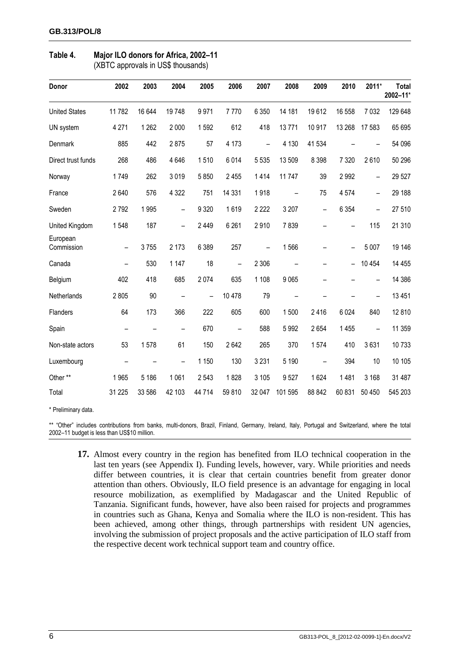| Donor                  | 2002                     | 2003    | 2004    | 2005                     | 2006                     | 2007    | 2008    | 2009                     | 2010    | 2011*                    | <b>Total</b><br>2002-11* |
|------------------------|--------------------------|---------|---------|--------------------------|--------------------------|---------|---------|--------------------------|---------|--------------------------|--------------------------|
| <b>United States</b>   | 11782                    | 16 644  | 19748   | 9971                     | 7770                     | 6 3 5 0 | 14 181  | 19612                    | 16 558  | 7 0 3 2                  | 129 648                  |
| UN system              | 4 2 7 1                  | 1 2 6 2 | 2 0 0 0 | 1592                     | 612                      | 418     | 13771   | 10 917                   | 13 268  | 17 583                   | 65 695                   |
| Denmark                | 885                      | 442     | 2875    | 57                       | 4 1 7 3                  |         | 4 1 3 0 | 41 534                   |         |                          | 54 096                   |
| Direct trust funds     | 268                      | 486     | 4 6 4 6 | 1510                     | 6014                     | 5 5 3 5 | 13 509  | 8 3 9 8                  | 7 3 2 0 | 2610                     | 50 296                   |
| Norway                 | 1749                     | 262     | 3019    | 5850                     | 2 4 5 5                  | 1414    | 11747   | 39                       | 2992    | $\overline{\phantom{0}}$ | 29 5 27                  |
| France                 | 2640                     | 576     | 4 3 2 2 | 751                      | 14 3 31                  | 1918    |         | 75                       | 4574    | —                        | 29 188                   |
| Sweden                 | 2792                     | 1995    |         | 9 3 2 0                  | 1619                     | 2 2 2 2 | 3 2 0 7 | $\overline{\phantom{0}}$ | 6 3 5 4 |                          | 27 510                   |
| United Kingdom         | 1548                     | 187     |         | 2 4 4 9                  | 6 2 6 1                  | 2910    | 7839    |                          |         | 115                      | 21 310                   |
| European<br>Commission |                          | 3755    | 2 1 7 3 | 6 3 8 9                  | 257                      |         | 1566    |                          |         | 5 0 0 7                  | 19 14 6                  |
| Canada                 | $\overline{\phantom{0}}$ | 530     | 1 1 4 7 | 18                       | $\overline{\phantom{0}}$ | 2 3 0 6 |         |                          |         | 10 4 54                  | 14 4 5 5                 |
| Belgium                | 402                      | 418     | 685     | 2074                     | 635                      | 1 1 0 8 | 9065    |                          |         |                          | 14 386                   |
| Netherlands            | 2805                     | 90      |         | $\overline{\phantom{0}}$ | 10 478                   | 79      |         |                          |         |                          | 13 4 51                  |
| Flanders               | 64                       | 173     | 366     | 222                      | 605                      | 600     | 1500    | 2416                     | 6 0 24  | 840                      | 12 810                   |
| Spain                  |                          |         |         | 670                      | $\overline{\phantom{0}}$ | 588     | 5992    | 2654                     | 1 4 5 5 | $\overline{\phantom{0}}$ | 11 359                   |
| Non-state actors       | 53                       | 1578    | 61      | 150                      | 2642                     | 265     | 370     | 1574                     | 410     | 3631                     | 10733                    |
| Luxembourg             |                          |         |         | 1 150                    | 130                      | 3 2 3 1 | 5 1 9 0 |                          | 394     | 10                       | 10 10 5                  |
| Other **               | 1965                     | 5 1 8 6 | 1 0 6 1 | 2 5 4 3                  | 1828                     | 3 1 0 5 | 9527    | 1624                     | 1481    | 3 1 6 8                  | 31 487                   |
| Total                  | 31 225                   | 33 586  | 42 103  | 44 714                   | 59 810                   | 32 047  | 101 595 | 88 842                   | 60 831  | 50 450                   | 545 203                  |

## **Table 4. Major ILO donors for Africa, 2002–11**

(XBTC approvals in US\$ thousands)

\* Preliminary data.

\*\* "Other" includes contributions from banks, multi-donors, Brazil, Finland, Germany, Ireland, Italy, Portugal and Switzerland, where the total 2002–11 budget is less than US\$10 million.

**17.** Almost every country in the region has benefited from ILO technical cooperation in the last ten years (see Appendix I). Funding levels, however, vary. While priorities and needs differ between countries, it is clear that certain countries benefit from greater donor attention than others. Obviously, ILO field presence is an advantage for engaging in local resource mobilization, as exemplified by Madagascar and the United Republic of Tanzania. Significant funds, however, have also been raised for projects and programmes in countries such as Ghana, Kenya and Somalia where the ILO is non-resident. This has been achieved, among other things, through partnerships with resident UN agencies, involving the submission of project proposals and the active participation of ILO staff from the respective decent work technical support team and country office.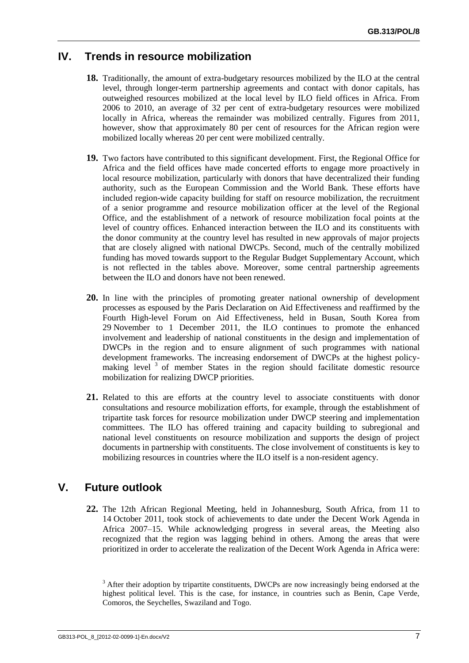#### **IV. Trends in resource mobilization**

- **18.** Traditionally, the amount of extra-budgetary resources mobilized by the ILO at the central level, through longer-term partnership agreements and contact with donor capitals, has outweighed resources mobilized at the local level by ILO field offices in Africa. From 2006 to 2010, an average of 32 per cent of extra-budgetary resources were mobilized locally in Africa, whereas the remainder was mobilized centrally. Figures from 2011, however, show that approximately 80 per cent of resources for the African region were mobilized locally whereas 20 per cent were mobilized centrally.
- **19.** Two factors have contributed to this significant development. First, the Regional Office for Africa and the field offices have made concerted efforts to engage more proactively in local resource mobilization, particularly with donors that have decentralized their funding authority, such as the European Commission and the World Bank. These efforts have included region-wide capacity building for staff on resource mobilization, the recruitment of a senior programme and resource mobilization officer at the level of the Regional Office, and the establishment of a network of resource mobilization focal points at the level of country offices. Enhanced interaction between the ILO and its constituents with the donor community at the country level has resulted in new approvals of major projects that are closely aligned with national DWCPs. Second, much of the centrally mobilized funding has moved towards support to the Regular Budget Supplementary Account, which is not reflected in the tables above. Moreover, some central partnership agreements between the ILO and donors have not been renewed.
- **20.** In line with the principles of promoting greater national ownership of development processes as espoused by the Paris Declaration on Aid Effectiveness and reaffirmed by the Fourth High-level Forum on Aid Effectiveness, held in Busan, South Korea from 29 November to 1 December 2011, the ILO continues to promote the enhanced involvement and leadership of national constituents in the design and implementation of DWCPs in the region and to ensure alignment of such programmes with national development frameworks. The increasing endorsement of DWCPs at the highest policymaking level<sup>3</sup> of member States in the region should facilitate domestic resource mobilization for realizing DWCP priorities.
- **21.** Related to this are efforts at the country level to associate constituents with donor consultations and resource mobilization efforts, for example, through the establishment of tripartite task forces for resource mobilization under DWCP steering and implementation committees. The ILO has offered training and capacity building to subregional and national level constituents on resource mobilization and supports the design of project documents in partnership with constituents. The close involvement of constituents is key to mobilizing resources in countries where the ILO itself is a non-resident agency.

### **V. Future outlook**

**22.** The 12th African Regional Meeting, held in Johannesburg, South Africa, from 11 to 14 October 2011, took stock of achievements to date under the Decent Work Agenda in Africa 2007–15. While acknowledging progress in several areas, the Meeting also recognized that the region was lagging behind in others. Among the areas that were prioritized in order to accelerate the realization of the Decent Work Agenda in Africa were:

<sup>&</sup>lt;sup>3</sup> After their adoption by tripartite constituents, DWCPs are now increasingly being endorsed at the highest political level. This is the case, for instance, in countries such as Benin, Cape Verde, Comoros, the Seychelles, Swaziland and Togo.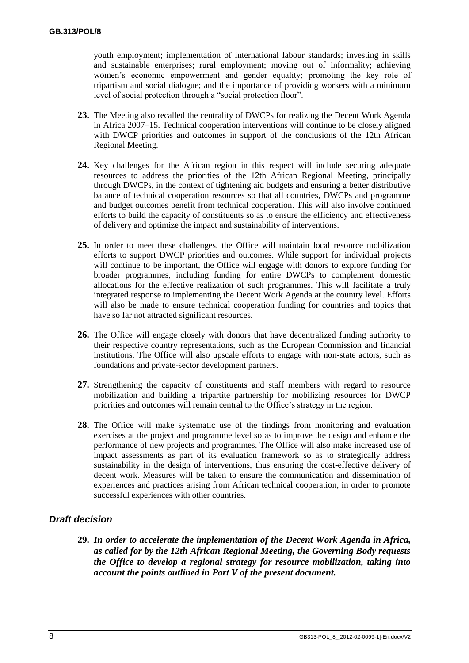youth employment; implementation of international labour standards; investing in skills and sustainable enterprises; rural employment; moving out of informality; achieving women's economic empowerment and gender equality; promoting the key role of tripartism and social dialogue; and the importance of providing workers with a minimum level of social protection through a "social protection floor".

- **23.** The Meeting also recalled the centrality of DWCPs for realizing the Decent Work Agenda in Africa 2007–15. Technical cooperation interventions will continue to be closely aligned with DWCP priorities and outcomes in support of the conclusions of the 12th African Regional Meeting.
- **24.** Key challenges for the African region in this respect will include securing adequate resources to address the priorities of the 12th African Regional Meeting, principally through DWCPs, in the context of tightening aid budgets and ensuring a better distributive balance of technical cooperation resources so that all countries, DWCPs and programme and budget outcomes benefit from technical cooperation. This will also involve continued efforts to build the capacity of constituents so as to ensure the efficiency and effectiveness of delivery and optimize the impact and sustainability of interventions.
- **25.** In order to meet these challenges, the Office will maintain local resource mobilization efforts to support DWCP priorities and outcomes. While support for individual projects will continue to be important, the Office will engage with donors to explore funding for broader programmes, including funding for entire DWCPs to complement domestic allocations for the effective realization of such programmes. This will facilitate a truly integrated response to implementing the Decent Work Agenda at the country level. Efforts will also be made to ensure technical cooperation funding for countries and topics that have so far not attracted significant resources.
- **26.** The Office will engage closely with donors that have decentralized funding authority to their respective country representations, such as the European Commission and financial institutions. The Office will also upscale efforts to engage with non-state actors, such as foundations and private-sector development partners.
- **27.** Strengthening the capacity of constituents and staff members with regard to resource mobilization and building a tripartite partnership for mobilizing resources for DWCP priorities and outcomes will remain central to the Office's strategy in the region.
- **28.** The Office will make systematic use of the findings from monitoring and evaluation exercises at the project and programme level so as to improve the design and enhance the performance of new projects and programmes. The Office will also make increased use of impact assessments as part of its evaluation framework so as to strategically address sustainability in the design of interventions, thus ensuring the cost-effective delivery of decent work. Measures will be taken to ensure the communication and dissemination of experiences and practices arising from African technical cooperation, in order to promote successful experiences with other countries.

#### *Draft decision*

**29.** *In order to accelerate the implementation of the Decent Work Agenda in Africa, as called for by the 12th African Regional Meeting, the Governing Body requests the Office to develop a regional strategy for resource mobilization, taking into account the points outlined in Part V of the present document.*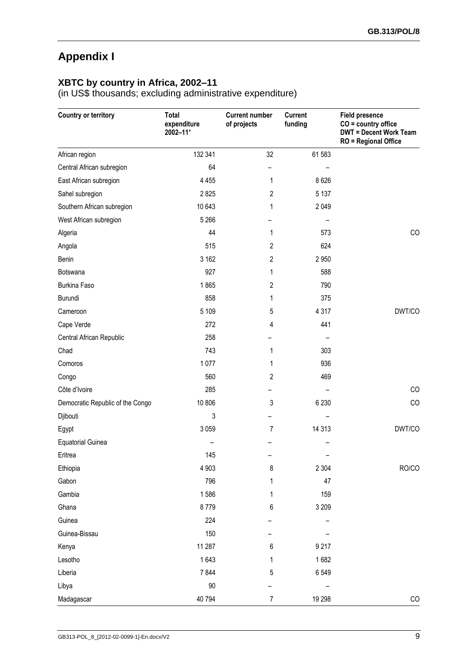## **Appendix I**

#### **XBTC by country in Africa, 2002–11**

(in US\$ thousands; excluding administrative expenditure)

| <b>Country or territory</b>      | Total<br>expenditure<br>2002-11* | <b>Current number</b><br>of projects | <b>Current</b><br>funding | <b>Field presence</b><br>$CO =$ country office<br><b>DWT = Decent Work Team</b><br><b>RO</b> = Regional Office |
|----------------------------------|----------------------------------|--------------------------------------|---------------------------|----------------------------------------------------------------------------------------------------------------|
| African region                   | 132 341                          | 32                                   | 61 583                    |                                                                                                                |
| Central African subregion        | 64                               |                                      |                           |                                                                                                                |
| East African subregion           | 4 4 5 5                          | 1                                    | 8 6 2 6                   |                                                                                                                |
| Sahel subregion                  | 2825                             | 2                                    | 5 1 3 7                   |                                                                                                                |
| Southern African subregion       | 10 643                           | 1                                    | 2 0 4 9                   |                                                                                                                |
| West African subregion           | 5 2 6 6                          |                                      |                           |                                                                                                                |
| Algeria                          | 44                               | 1                                    | 573                       | CO                                                                                                             |
| Angola                           | 515                              | 2                                    | 624                       |                                                                                                                |
| Benin                            | 3 1 6 2                          | $\overline{c}$                       | 2 9 5 0                   |                                                                                                                |
| Botswana                         | 927                              | 1                                    | 588                       |                                                                                                                |
| <b>Burkina Faso</b>              | 1865                             | 2                                    | 790                       |                                                                                                                |
| Burundi                          | 858                              | 1                                    | 375                       |                                                                                                                |
| Cameroon                         | 5 1 0 9                          | 5                                    | 4 3 1 7                   | DWT/CO                                                                                                         |
| Cape Verde                       | 272                              | 4                                    | 441                       |                                                                                                                |
| Central African Republic         | 258                              |                                      |                           |                                                                                                                |
| Chad                             | 743                              | 1                                    | 303                       |                                                                                                                |
| Comoros                          | 1077                             | 1                                    | 936                       |                                                                                                                |
| Congo                            | 560                              | 2                                    | 469                       |                                                                                                                |
| Côte d'Ivoire                    | 285                              |                                      |                           | CO                                                                                                             |
| Democratic Republic of the Congo | 10 806                           | 3                                    | 6 2 3 0                   | CO                                                                                                             |
| Djibouti                         | 3                                |                                      |                           |                                                                                                                |
| Egypt                            | 3 0 5 9                          | 7                                    | 14 3 13                   | DWT/CO                                                                                                         |
| <b>Equatorial Guinea</b>         |                                  |                                      |                           |                                                                                                                |
| Eritrea                          | 145                              |                                      |                           |                                                                                                                |
| Ethiopia                         | 4 9 0 3                          | 8                                    | 2 3 0 4                   | RO/CO                                                                                                          |
| Gabon                            | 796                              | 1                                    | 47                        |                                                                                                                |
| Gambia                           | 1586                             |                                      | 159                       |                                                                                                                |
| Ghana                            | 8779                             | 6                                    | 3 2 0 9                   |                                                                                                                |
| Guinea                           | 224                              |                                      |                           |                                                                                                                |
| Guinea-Bissau                    | 150                              |                                      |                           |                                                                                                                |
| Kenya                            | 11 287                           | 6                                    | 9 2 1 7                   |                                                                                                                |
| Lesotho                          | 1643                             | 1                                    | 1682                      |                                                                                                                |
| Liberia                          | 7844                             | 5                                    | 6549                      |                                                                                                                |
| Libya                            | 90                               |                                      |                           |                                                                                                                |
| Madagascar                       | 40 794                           | 7                                    | 19 298                    | CO                                                                                                             |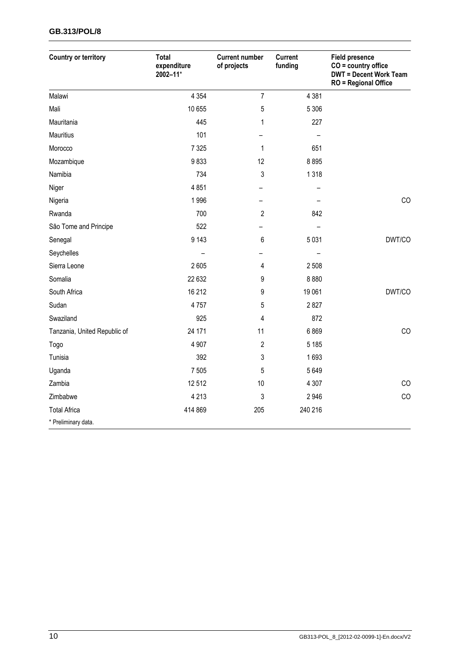#### **GB.313/POL/8**

| <b>Country or territory</b>  | <b>Total</b><br>expenditure<br>2002-11* | <b>Current number</b><br>of projects | <b>Current</b><br>funding | <b>Field presence</b><br>$CO = country$ office<br><b>DWT = Decent Work Team</b><br><b>RO</b> = Regional Office |
|------------------------------|-----------------------------------------|--------------------------------------|---------------------------|----------------------------------------------------------------------------------------------------------------|
| Malawi                       | 4 3 5 4                                 | $\overline{7}$                       | 4 3 8 1                   |                                                                                                                |
| Mali                         | 10 655                                  | 5                                    | 5 3 0 6                   |                                                                                                                |
| Mauritania                   | 445                                     | 1                                    | 227                       |                                                                                                                |
| <b>Mauritius</b>             | 101                                     |                                      |                           |                                                                                                                |
| Morocco                      | 7 3 2 5                                 | $\mathbf{1}$                         | 651                       |                                                                                                                |
| Mozambique                   | 9833                                    | 12                                   | 8895                      |                                                                                                                |
| Namibia                      | 734                                     | 3                                    | 1318                      |                                                                                                                |
| Niger                        | 4851                                    |                                      |                           |                                                                                                                |
| Nigeria                      | 1996                                    |                                      |                           | CO                                                                                                             |
| Rwanda                       | 700                                     | $\mathbf{2}$                         | 842                       |                                                                                                                |
| São Tome and Principe        | 522                                     |                                      |                           |                                                                                                                |
| Senegal                      | 9 1 4 3                                 | 6                                    | 5 0 3 1                   | DWT/CO                                                                                                         |
| Seychelles                   |                                         |                                      |                           |                                                                                                                |
| Sierra Leone                 | 2605                                    | 4                                    | 2 5 0 8                   |                                                                                                                |
| Somalia                      | 22 632                                  | 9                                    | 8 8 8 0                   |                                                                                                                |
| South Africa                 | 16 212                                  | 9                                    | 19 061                    | DWT/CO                                                                                                         |
| Sudan                        | 4757                                    | 5                                    | 2827                      |                                                                                                                |
| Swaziland                    | 925                                     | 4                                    | 872                       |                                                                                                                |
| Tanzania, United Republic of | 24 171                                  | 11                                   | 6869                      | CO                                                                                                             |
| Togo                         | 4 9 0 7                                 | $\overline{c}$                       | 5 1 8 5                   |                                                                                                                |
| Tunisia                      | 392                                     | 3                                    | 1693                      |                                                                                                                |
| Uganda                       | 7 5 0 5                                 | 5                                    | 5649                      |                                                                                                                |
| Zambia                       | 12512                                   | 10                                   | 4 3 0 7                   | CO                                                                                                             |
| Zimbabwe                     | 4 2 1 3                                 | 3                                    | 2946                      | CO                                                                                                             |
| <b>Total Africa</b>          | 414 869                                 | 205                                  | 240 216                   |                                                                                                                |
| * Preliminary data.          |                                         |                                      |                           |                                                                                                                |